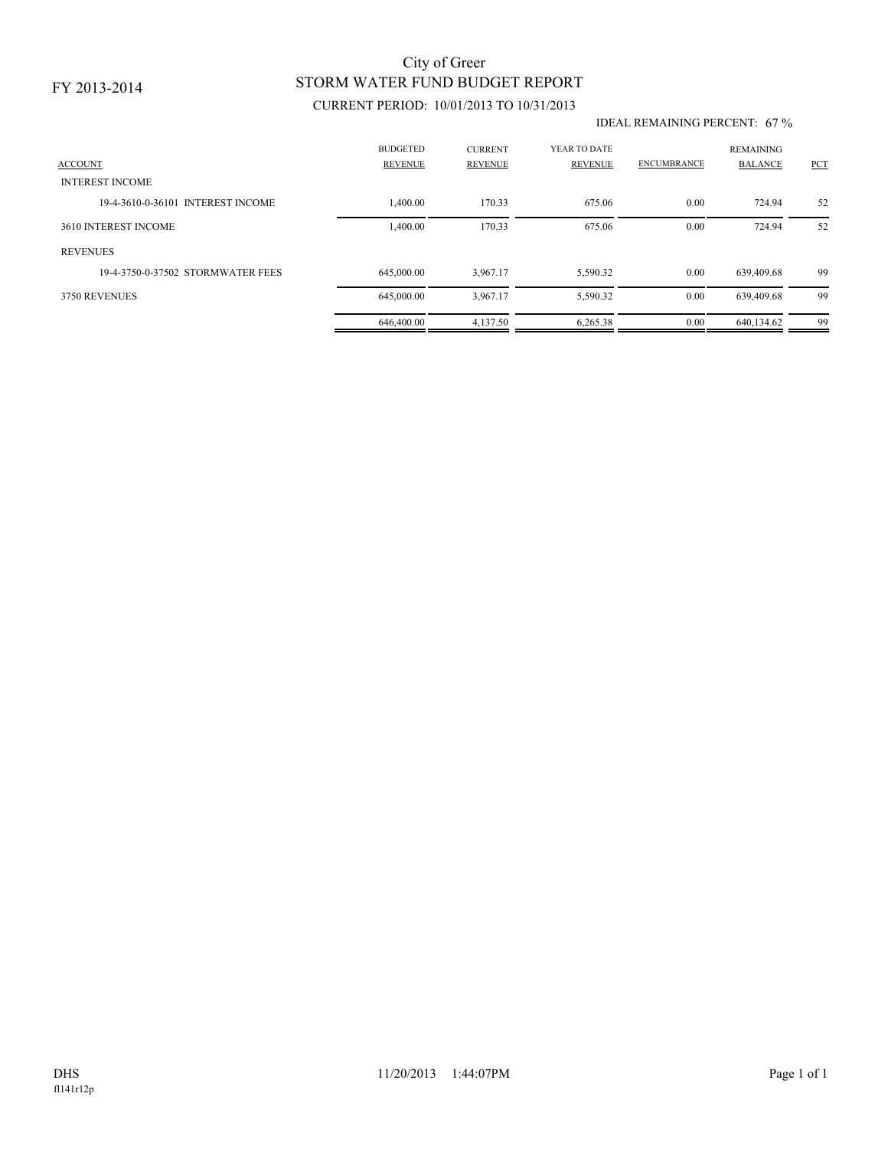# STORM WATER FUND BUDGET REPORT City of Greer

## CURRENT PERIOD: 10/01/2013 TO 10/31/2013

#### IDEAL REMAINING PERCENT: 67 %

| <b>ACCOUNT</b><br><b>INTEREST INCOME</b> | <b>BUDGETED</b><br><b>REVENUE</b> | <b>CURRENT</b><br><b>REVENUE</b> | YEAR TO DATE<br><b>REVENUE</b> | <b>ENCUMBRANCE</b> | <b>REMAINING</b><br><b>BALANCE</b> | PCT |
|------------------------------------------|-----------------------------------|----------------------------------|--------------------------------|--------------------|------------------------------------|-----|
| 19-4-3610-0-36101 INTEREST INCOME        | 1,400.00                          | 170.33                           | 675.06                         | 0.00               | 724.94                             | 52  |
| 3610 INTEREST INCOME                     | 1,400.00                          | 170.33                           | 675.06                         | 0.00               | 724.94                             | 52  |
| <b>REVENUES</b>                          |                                   |                                  |                                |                    |                                    |     |
| 19-4-3750-0-37502 STORMWATER FEES        | 645,000.00                        | 3,967.17                         | 5,590.32                       | 0.00               | 639,409.68                         | -99 |
| 3750 REVENUES                            | 645,000.00                        | 3,967.17                         | 5,590.32                       | 0.00               | 639,409.68                         | 99  |
|                                          | 646,400.00                        | 4.137.50                         | 6.265.38                       | 0.00               | 640.134.62                         | 99  |